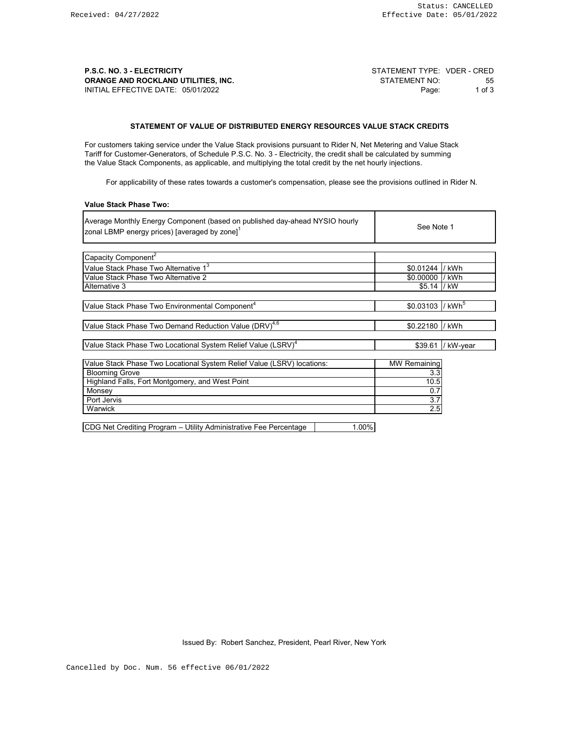**P.S.C. NO. 3 - ELECTRICITY P.S.C. NO. 3 - ELECTRICITY** STATEMENT TYPE: VDER - CRED<br>ORANGE AND ROCKLAND UTILITIES, INC. STATEMENT NO. STATEMENT NO: STATEMENT NO. **ORANGE AND ROCKLAND UTILITIES, INC.** STATEMENT NO: 55<br>
INITIAL EFFECTIVE DATE: 05/01/2022 INITIAL EFFECTIVE DATE: 05/01/2022

## **STATEMENT OF VALUE OF DISTRIBUTED ENERGY RESOURCES VALUE STACK CREDITS**

For customers taking service under the Value Stack provisions pursuant to Rider N, Net Metering and Value Stack Tariff for Customer-Generators, of Schedule P.S.C. No. 3 - Electricity, the credit shall be calculated by summing the Value Stack Components, as applicable, and multiplying the total credit by the net hourly injections.

For applicability of these rates towards a customer's compensation, please see the provisions outlined in Rider N.

#### **Value Stack Phase Two:**

| Average Monthly Energy Component (based on published day-ahead NYSIO hourly<br>zonal LBMP energy prices) [averaged by zone] <sup>1</sup> | See Note 1                   |                   |
|------------------------------------------------------------------------------------------------------------------------------------------|------------------------------|-------------------|
|                                                                                                                                          |                              |                   |
| Capacity Component <sup>2</sup>                                                                                                          |                              |                   |
| Value Stack Phase Two Alternative 1 <sup>3</sup>                                                                                         | \$0.01244                    | /kWh              |
| Value Stack Phase Two Alternative 2                                                                                                      | \$0.00000                    | / kWh             |
| Alternative 3                                                                                                                            | \$5.14  / kW                 |                   |
|                                                                                                                                          |                              |                   |
| Value Stack Phase Two Environmental Component <sup>4</sup>                                                                               | \$0.03103 / kWh <sup>5</sup> |                   |
|                                                                                                                                          |                              |                   |
| Value Stack Phase Two Demand Reduction Value (DRV) <sup>4,6</sup>                                                                        | \$0.22180 / kWh              |                   |
|                                                                                                                                          |                              |                   |
| Value Stack Phase Two Locational System Relief Value (LSRV) <sup>4</sup>                                                                 |                              | \$39.61 / kW-year |
|                                                                                                                                          |                              |                   |
| Value Stack Phase Two Locational System Relief Value (LSRV) locations:                                                                   | <b>MW Remaining</b>          |                   |
| <b>Blooming Grove</b>                                                                                                                    | 3.3                          |                   |
| Highland Falls, Fort Montgomery, and West Point                                                                                          | 10.5                         |                   |
| Monsey                                                                                                                                   | 0.7                          |                   |
| Port Jervis                                                                                                                              | 3.7                          |                   |
| Warwick                                                                                                                                  | 2.5                          |                   |

CDG Net Crediting Program – Utility Administrative Fee Percentage | 1.00%

Issued By: Robert Sanchez, President, Pearl River, New York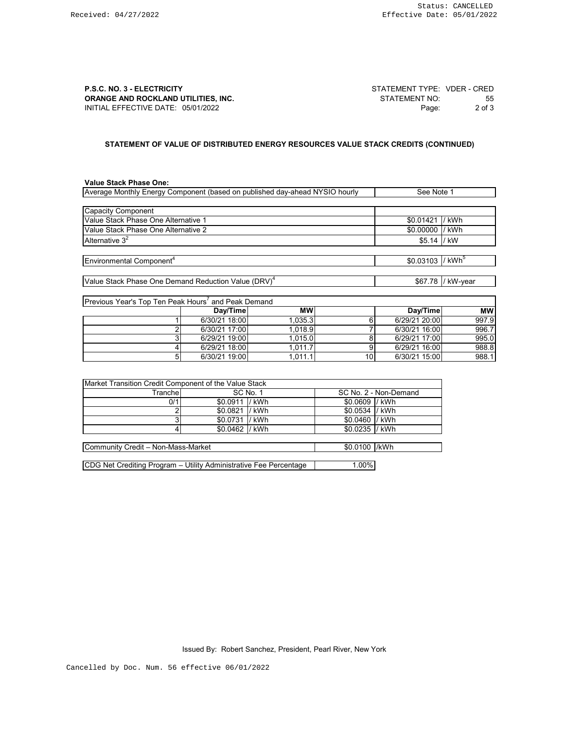**P.S.C. NO. 3 - ELECTRICITY CONSUMISTION CONSUMING STATEMENT TYPE:** VDER - CRED<br> **ORANGE AND ROCKLAND UTILITIES, INC.** STATEMENT NO. STATEMENT NO: 55 **ORANGE AND ROCKLAND UTILITIES, INC.** STATEMENT NO: 55<br>
INITIAL EFFECTIVE DATE: 05/01/2022<br>
2 of 3 INITIAL EFFECTIVE DATE: 05/01/2022

# **STATEMENT OF VALUE OF DISTRIBUTED ENERGY RESOURCES VALUE STACK CREDITS (CONTINUED)**

## **Value Stack Phase One:**

| Average Monthly Energy Component (based on published day-ahead NYSIO hourly | See Note 1                   |                   |
|-----------------------------------------------------------------------------|------------------------------|-------------------|
|                                                                             |                              |                   |
| Capacity Component                                                          |                              |                   |
| Value Stack Phase One Alternative 1                                         | \$0.01421                    | /kWh              |
| Value Stack Phase One Alternative 2                                         | \$0.00000                    | / kWh             |
| Alternative $3^2$                                                           | \$5.14                       | /kW               |
|                                                                             |                              |                   |
| Environmental Component <sup>4</sup>                                        | \$0.03103 / kWh <sup>5</sup> |                   |
|                                                                             |                              |                   |
| Value Stack Phase One Demand Reduction Value (DRV) <sup>4</sup>             |                              | \$67.78 / kW-year |
|                                                                             |                              |                   |
| Previous Year's Top Ten Peak Hours <sup>7</sup> and Peak Demand             |                              |                   |

| II I GVIUUS TGAI STUUTTGITI GAN I IUUI SAIIU ITGAN LUGI IIAI IU |               |           |    |               |           |
|-----------------------------------------------------------------|---------------|-----------|----|---------------|-----------|
|                                                                 | Dav/Time      | <b>MW</b> |    | Dav/Time      | <b>MW</b> |
|                                                                 | 6/30/21 18:00 | 1.035.31  |    | 6/29/21 20:00 | 997.9     |
|                                                                 | 6/30/21 17:00 | 1.018.9   |    | 6/30/21 16:00 | 996.7     |
|                                                                 | 6/29/21 19:00 | 1.015.0 l |    | 6/29/21 17:00 | 995.0     |
|                                                                 | 6/29/21 18:00 | 1.011.7   |    | 6/29/21 16:00 | 988.8     |
|                                                                 | 6/30/21 19:00 | 1.011.1   | 10 | 6/30/21 15:00 | 988.1     |

| Market Transition Credit Component of the Value Stack |                 |          |                 |                       |
|-------------------------------------------------------|-----------------|----------|-----------------|-----------------------|
| Tranchel                                              |                 | SC No. 1 |                 | SC No. 2 - Non-Demand |
| 0/1                                                   | \$0.0911 / kWh  |          | \$0.0609 / kWh  |                       |
|                                                       | \$0.0821  / kWh |          | \$0.0534  / kWh |                       |
|                                                       | \$0.0731 / kWh  |          | \$0.0460 / kWh  |                       |
|                                                       | \$0.0462 / kWh  |          | \$0.0235 / kWh  |                       |
|                                                       |                 |          |                 |                       |
| Community Credit - Non-Mass-Market                    |                 |          | \$0.0100 /kWh   |                       |

CDG Net Crediting Program – Utility Administrative Fee Percentage | 1.00%

Issued By: Robert Sanchez, President, Pearl River, New York